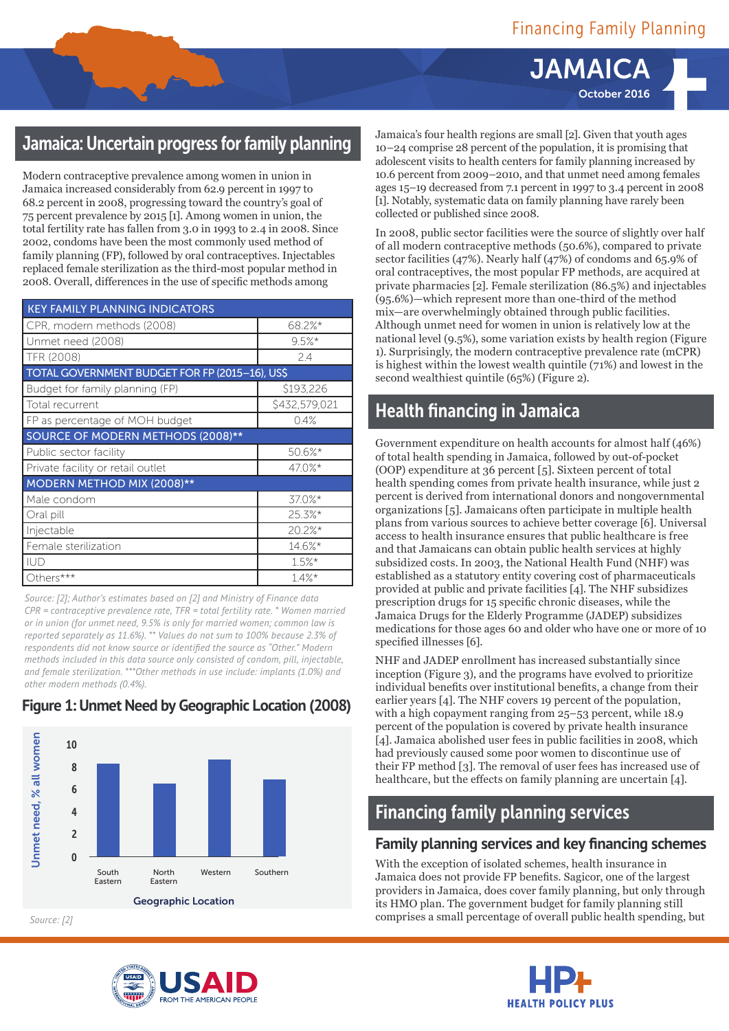**JAMAIC** October 2016

# Jamaica: Uncertain progress for family planning

Modern contraceptive prevalence among women in union in Jamaica increased considerably from 62.9 percent in 1997 to 68.2 percent in 2008, progressing toward the country's goal of 75 percent prevalence by 2015 [1]. Among women in union, the total fertility rate has fallen from 3.0 in 1993 to 2.4 in 2008. Since 2002, condoms have been the most commonly used method of family planning (FP), followed by oral contraceptives. Injectables replaced female sterilization as the third-most popular method in 2008. Overall, differences in the use of specific methods among

| <b>KEY FAMILY PLANNING INDICATORS</b>          |               |
|------------------------------------------------|---------------|
| CPR, modern methods (2008)                     | 68.2%*        |
| Unmet need (2008)                              | $9.5%$ *      |
| TFR (2008)                                     | 2.4           |
| TOTAL GOVERNMENT BUDGET FOR FP (2015-16), US\$ |               |
| Budget for family planning (FP)                | \$193,226     |
| Total recurrent                                | \$432,579,021 |
| FP as percentage of MOH budget                 | 0.4%          |
| SOURCE OF MODERN METHODS (2008)**              |               |
| Public sector facility                         | 50.6%*        |
| Private facility or retail outlet              | $47.0\%$ *    |
| MODERN METHOD MIX (2008)**                     |               |
| Male condom                                    | $37.0\%$ *    |
| Oral pill                                      | $25.3%$ *     |
| Injectable                                     | $20.2\%$ *    |
| Female sterilization                           | $14.6\%$ *    |
| <b>IUD</b>                                     | $1.5%$ *      |
| Others***                                      | $1.4%$ *      |

*Source: [2]; Author's estimates based on [2] and Ministry of Finance data CPR = contraceptive prevalence rate, TFR = total fertility rate. \* Women married or in union (for unmet need, 9.5% is only for married women; common law is reported separately as 11.6%). \*\* Values do not sum to 100% because 2.3% of respondents did not know source or identified the source as "Other." Modern methods included in this data source only consisted of condom, pill, injectable, and female sterilization. \*\*\*Other methods in use include: implants (1.0%) and other modern methods (0.4%).*

## **Figure 1: Unmet Need by Geographic Location (2008)**



 *Source: [2]*



In 2008, public sector facilities were the source of slightly over half of all modern contraceptive methods (50.6%), compared to private sector facilities (47%). Nearly half (47%) of condoms and 65.9% of oral contraceptives, the most popular FP methods, are acquired at private pharmacies [2]. Female sterilization (86.5%) and injectables (95.6%)—which represent more than one-third of the method mix—are overwhelmingly obtained through public facilities. Although unmet need for women in union is relatively low at the national level (9.5%), some variation exists by health region (Figure 1). Surprisingly, the modern contraceptive prevalence rate (mCPR) is highest within the lowest wealth quintile (71%) and lowest in the second wealthiest quintile (65%) (Figure 2).

# Health financing in Jamaica

Government expenditure on health accounts for almost half (46%) of total health spending in Jamaica, followed by out-of-pocket (OOP) expenditure at 36 percent [5]. Sixteen percent of total health spending comes from private health insurance, while just 2 percent is derived from international donors and nongovernmental organizations [5]. Jamaicans often participate in multiple health plans from various sources to achieve better coverage [6]. Universal access to health insurance ensures that public healthcare is free and that Jamaicans can obtain public health services at highly subsidized costs. In 2003, the National Health Fund (NHF) was established as a statutory entity covering cost of pharmaceuticals provided at public and private facilities [4]. The NHF subsidizes prescription drugs for 15 specific chronic diseases, while the Jamaica Drugs for the Elderly Programme (JADEP) subsidizes medications for those ages 60 and older who have one or more of 10 specified illnesses [6].

NHF and JADEP enrollment has increased substantially since inception (Figure 3), and the programs have evolved to prioritize individual benefits over institutional benefits, a change from their earlier years [4]. The NHF covers 19 percent of the population, with a high copayment ranging from 25–53 percent, while 18.9 percent of the population is covered by private health insurance [4]. Jamaica abolished user fees in public facilities in 2008, which had previously caused some poor women to discontinue use of their FP method [3]. The removal of user fees has increased use of healthcare, but the effects on family planning are uncertain [4].

# Financing family planning services

## **Family planning services and key financing schemes**

With the exception of isolated schemes, health insurance in Jamaica does not provide FP benefits. Sagicor, one of the largest providers in Jamaica, does cover family planning, but only through its HMO plan. The government budget for family planning still comprises a small percentage of overall public health spending, but